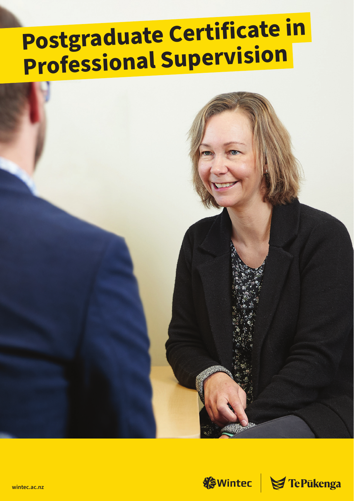# Postgraduate Certificate in **Professional Supervision**